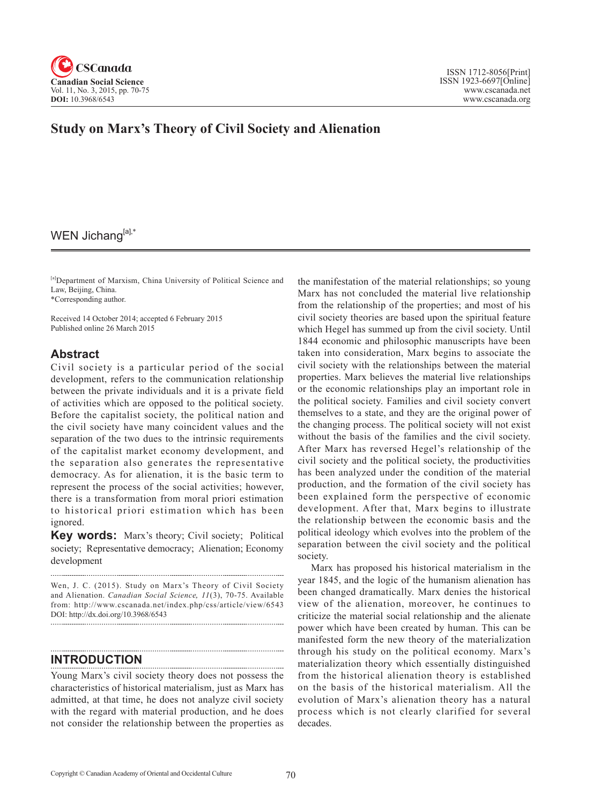

# **Study on Marx's Theory of Civil Society and Alienation**

# WEN Jichang[a],\*

[a]Department of Marxism, China University of Political Science and Law, Beijing, China.

\*Corresponding author.

Received 14 October 2014; accepted 6 February 2015 Published online 26 March 2015

## **Abstract**

Civil society is a particular period of the social development, refers to the communication relationship between the private individuals and it is a private field of activities which are opposed to the political society. Before the capitalist society, the political nation and the civil society have many coincident values and the separation of the two dues to the intrinsic requirements of the capitalist market economy development, and the separation also generates the representative democracy. As for alienation, it is the basic term to represent the process of the social activities; however, there is a transformation from moral priori estimation to historical priori estimation which has been ignored.

**Key words:** Marx's theory; Civil society; Political society; Representative democracy; Alienation; Economy development

Wen, J. C. (2015). Study on Marx's Theory of Civil Society and Alienation. *Canadian Social Science*, 11(3), 70-75. Available from: http://www.cscanada.net/index.php/css/article/view/6543 DOI: http://dx.doi.org/10.3968/6543 

## **INTRODUCTION**

Young Marx's civil society theory does not possess the characteristics of historical materialism, just as Marx has admitted, at that time, he does not analyze civil society with the regard with material production, and he does not consider the relationship between the properties as the manifestation of the material relationships; so young Marx has not concluded the material live relationship from the relationship of the properties; and most of his civil society theories are based upon the spiritual feature which Hegel has summed up from the civil society. Until 1844 economic and philosophic manuscripts have been taken into consideration, Marx begins to associate the civil society with the relationships between the material properties. Marx believes the material live relationships or the economic relationships play an important role in the political society. Families and civil society convert themselves to a state, and they are the original power of the changing process. The political society will not exist without the basis of the families and the civil society. After Marx has reversed Hegel's relationship of the civil society and the political society, the productivities has been analyzed under the condition of the material production, and the formation of the civil society has been explained form the perspective of economic development. After that, Marx begins to illustrate the relationship between the economic basis and the political ideology which evolves into the problem of the separation between the civil society and the political society.

Marx has proposed his historical materialism in the year 1845, and the logic of the humanism alienation has been changed dramatically. Marx denies the historical view of the alienation, moreover, he continues to criticize the material social relationship and the alienate power which have been created by human. This can be manifested form the new theory of the materialization through his study on the political economy. Marx's materialization theory which essentially distinguished from the historical alienation theory is established on the basis of the historical materialism. All the evolution of Marx's alienation theory has a natural process which is not clearly clarified for several decades.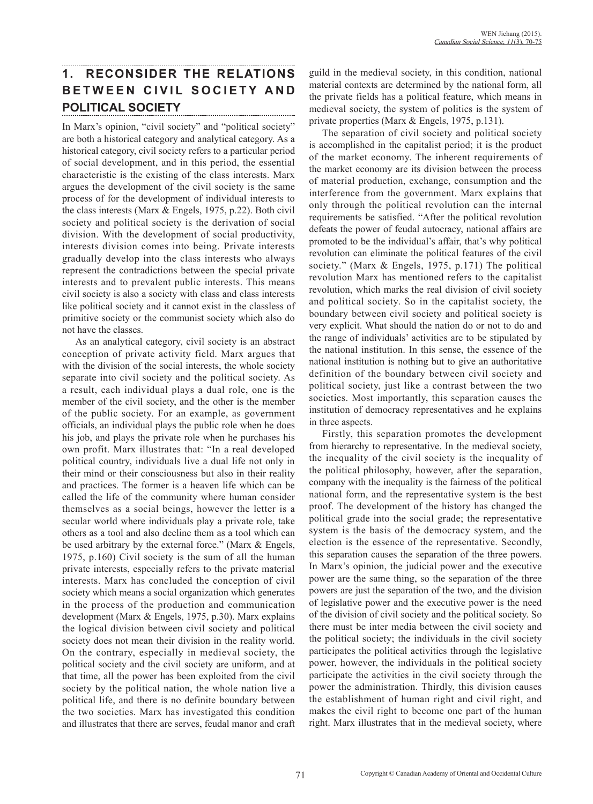# **1. RECONSIDER THE RELATIONS BETWEEN CIVIL SOCIETY AND POLITICAL SOCIETY**

In Marx's opinion, "civil society" and "political society" are both a historical category and analytical category. As a historical category, civil society refers to a particular period of social development, and in this period, the essential characteristic is the existing of the class interests. Marx argues the development of the civil society is the same process of for the development of individual interests to the class interests (Marx & Engels, 1975, p.22). Both civil society and political society is the derivation of social division. With the development of social productivity, interests division comes into being. Private interests gradually develop into the class interests who always represent the contradictions between the special private interests and to prevalent public interests. This means civil society is also a society with class and class interests like political society and it cannot exist in the classless of primitive society or the communist society which also do not have the classes.

As an analytical category, civil society is an abstract conception of private activity field. Marx argues that with the division of the social interests, the whole society separate into civil society and the political society. As a result, each individual plays a dual role, one is the member of the civil society, and the other is the member of the public society. For an example, as government officials, an individual plays the public role when he does his job, and plays the private role when he purchases his own profit. Marx illustrates that: "In a real developed political country, individuals live a dual life not only in their mind or their consciousness but also in their reality and practices. The former is a heaven life which can be called the life of the community where human consider themselves as a social beings, however the letter is a secular world where individuals play a private role, take others as a tool and also decline them as a tool which can be used arbitrary by the external force." (Marx & Engels, 1975, p.160) Civil society is the sum of all the human private interests, especially refers to the private material interests. Marx has concluded the conception of civil society which means a social organization which generates in the process of the production and communication development (Marx & Engels, 1975, p.30). Marx explains the logical division between civil society and political society does not mean their division in the reality world. On the contrary, especially in medieval society, the political society and the civil society are uniform, and at that time, all the power has been exploited from the civil society by the political nation, the whole nation live a political life, and there is no definite boundary between the two societies. Marx has investigated this condition and illustrates that there are serves, feudal manor and craft guild in the medieval society, in this condition, national material contexts are determined by the national form, all the private fields has a political feature, which means in medieval society, the system of politics is the system of private properties (Marx & Engels, 1975, p.131).

The separation of civil society and political society is accomplished in the capitalist period; it is the product of the market economy. The inherent requirements of the market economy are its division between the process of material production, exchange, consumption and the interference from the government. Marx explains that only through the political revolution can the internal requirements be satisfied. "After the political revolution defeats the power of feudal autocracy, national affairs are promoted to be the individual's affair, that's why political revolution can eliminate the political features of the civil society." (Marx & Engels, 1975, p.171) The political revolution Marx has mentioned refers to the capitalist revolution, which marks the real division of civil society and political society. So in the capitalist society, the boundary between civil society and political society is very explicit. What should the nation do or not to do and the range of individuals' activities are to be stipulated by the national institution. In this sense, the essence of the national institution is nothing but to give an authoritative definition of the boundary between civil society and political society, just like a contrast between the two societies. Most importantly, this separation causes the institution of democracy representatives and he explains in three aspects.

Firstly, this separation promotes the development from hierarchy to representative. In the medieval society, the inequality of the civil society is the inequality of the political philosophy, however, after the separation, company with the inequality is the fairness of the political national form, and the representative system is the best proof. The development of the history has changed the political grade into the social grade; the representative system is the basis of the democracy system, and the election is the essence of the representative. Secondly, this separation causes the separation of the three powers. In Marx's opinion, the judicial power and the executive power are the same thing, so the separation of the three powers are just the separation of the two, and the division of legislative power and the executive power is the need of the division of civil society and the political society. So there must be inter media between the civil society and the political society; the individuals in the civil society participates the political activities through the legislative power, however, the individuals in the political society participate the activities in the civil society through the power the administration. Thirdly, this division causes the establishment of human right and civil right, and makes the civil right to become one part of the human right. Marx illustrates that in the medieval society, where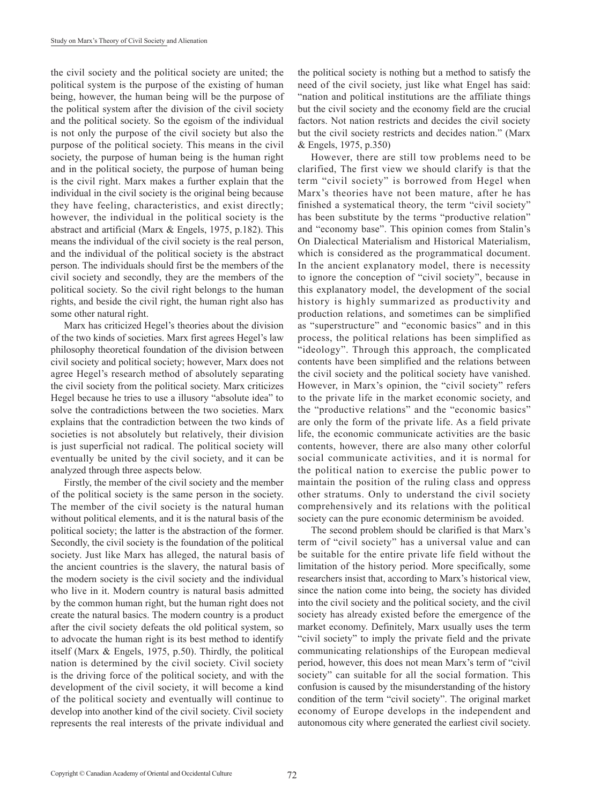the civil society and the political society are united; the political system is the purpose of the existing of human being, however, the human being will be the purpose of the political system after the division of the civil society and the political society. So the egoism of the individual is not only the purpose of the civil society but also the purpose of the political society. This means in the civil society, the purpose of human being is the human right and in the political society, the purpose of human being is the civil right. Marx makes a further explain that the individual in the civil society is the original being because they have feeling, characteristics, and exist directly; however, the individual in the political society is the abstract and artificial (Marx & Engels, 1975, p.182). This means the individual of the civil society is the real person, and the individual of the political society is the abstract person. The individuals should first be the members of the civil society and secondly, they are the members of the political society. So the civil right belongs to the human rights, and beside the civil right, the human right also has some other natural right.

Marx has criticized Hegel's theories about the division of the two kinds of societies. Marx first agrees Hegel's law philosophy theoretical foundation of the division between civil society and political society; however, Marx does not agree Hegel's research method of absolutely separating the civil society from the political society. Marx criticizes Hegel because he tries to use a illusory "absolute idea" to solve the contradictions between the two societies. Marx explains that the contradiction between the two kinds of societies is not absolutely but relatively, their division is just superficial not radical. The political society will eventually be united by the civil society, and it can be analyzed through three aspects below.

Firstly, the member of the civil society and the member of the political society is the same person in the society. The member of the civil society is the natural human without political elements, and it is the natural basis of the political society; the latter is the abstraction of the former. Secondly, the civil society is the foundation of the political society. Just like Marx has alleged, the natural basis of the ancient countries is the slavery, the natural basis of the modern society is the civil society and the individual who live in it. Modern country is natural basis admitted by the common human right, but the human right does not create the natural basics. The modern country is a product after the civil society defeats the old political system, so to advocate the human right is its best method to identify itself (Marx & Engels, 1975, p.50). Thirdly, the political nation is determined by the civil society. Civil society is the driving force of the political society, and with the development of the civil society, it will become a kind of the political society and eventually will continue to develop into another kind of the civil society. Civil society represents the real interests of the private individual and the political society is nothing but a method to satisfy the need of the civil society, just like what Engel has said: "nation and political institutions are the affiliate things but the civil society and the economy field are the crucial factors. Not nation restricts and decides the civil society but the civil society restricts and decides nation." (Marx & Engels, 1975, p.350)

However, there are still tow problems need to be clarified, The first view we should clarify is that the term "civil society" is borrowed from Hegel when Marx's theories have not been mature, after he has finished a systematical theory, the term "civil society" has been substitute by the terms "productive relation" and "economy base". This opinion comes from Stalin's On Dialectical Materialism and Historical Materialism, which is considered as the programmatical document. In the ancient explanatory model, there is necessity to ignore the conception of "civil society", because in this explanatory model, the development of the social history is highly summarized as productivity and production relations, and sometimes can be simplified as "superstructure" and "economic basics" and in this process, the political relations has been simplified as "ideology". Through this approach, the complicated contents have been simplified and the relations between the civil society and the political society have vanished. However, in Marx's opinion, the "civil society" refers to the private life in the market economic society, and the "productive relations" and the "economic basics" are only the form of the private life. As a field private life, the economic communicate activities are the basic contents, however, there are also many other colorful social communicate activities, and it is normal for the political nation to exercise the public power to maintain the position of the ruling class and oppress other stratums. Only to understand the civil society comprehensively and its relations with the political society can the pure economic determinism be avoided.

The second problem should be clarified is that Marx's term of "civil society" has a universal value and can be suitable for the entire private life field without the limitation of the history period. More specifically, some researchers insist that, according to Marx's historical view, since the nation come into being, the society has divided into the civil society and the political society, and the civil society has already existed before the emergence of the market economy. Definitely, Marx usually uses the term "civil society" to imply the private field and the private communicating relationships of the European medieval period, however, this does not mean Marx's term of "civil society" can suitable for all the social formation. This confusion is caused by the misunderstanding of the history condition of the term "civil society". The original market economy of Europe develops in the independent and autonomous city where generated the earliest civil society.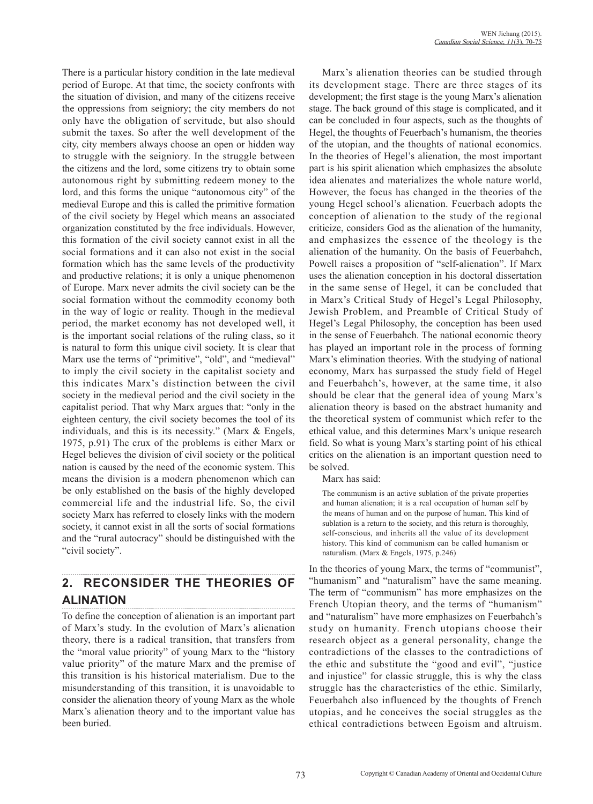There is a particular history condition in the late medieval period of Europe. At that time, the society confronts with the situation of division, and many of the citizens receive the oppressions from seigniory; the city members do not only have the obligation of servitude, but also should submit the taxes. So after the well development of the city, city members always choose an open or hidden way to struggle with the seigniory. In the struggle between the citizens and the lord, some citizens try to obtain some autonomous right by submitting redeem money to the lord, and this forms the unique "autonomous city" of the medieval Europe and this is called the primitive formation of the civil society by Hegel which means an associated organization constituted by the free individuals. However, this formation of the civil society cannot exist in all the social formations and it can also not exist in the social formation which has the same levels of the productivity and productive relations; it is only a unique phenomenon of Europe. Marx never admits the civil society can be the social formation without the commodity economy both in the way of logic or reality. Though in the medieval period, the market economy has not developed well, it is the important social relations of the ruling class, so it is natural to form this unique civil society. It is clear that Marx use the terms of "primitive", "old", and "medieval" to imply the civil society in the capitalist society and this indicates Marx's distinction between the civil society in the medieval period and the civil society in the capitalist period. That why Marx argues that: "only in the eighteen century, the civil society becomes the tool of its individuals, and this is its necessity." (Marx & Engels, 1975, p.91) The crux of the problems is either Marx or Hegel believes the division of civil society or the political nation is caused by the need of the economic system. This means the division is a modern phenomenon which can be only established on the basis of the highly developed commercial life and the industrial life. So, the civil society Marx has referred to closely links with the modern society, it cannot exist in all the sorts of social formations and the "rural autocracy" should be distinguished with the "civil society".

#### **2. RECONSIDER THE THEORIES OF ALINATION**

To define the conception of alienation is an important part of Marx's study. In the evolution of Marx's alienation theory, there is a radical transition, that transfers from the "moral value priority" of young Marx to the "history value priority" of the mature Marx and the premise of this transition is his historical materialism. Due to the misunderstanding of this transition, it is unavoidable to consider the alienation theory of young Marx as the whole Marx's alienation theory and to the important value has been buried.

Marx's alienation theories can be studied through its development stage. There are three stages of its development; the first stage is the young Marx's alienation stage. The back ground of this stage is complicated, and it can be concluded in four aspects, such as the thoughts of Hegel, the thoughts of Feuerbach's humanism, the theories of the utopian, and the thoughts of national economics. In the theories of Hegel's alienation, the most important part is his spirit alienation which emphasizes the absolute idea alienates and materializes the whole nature world, However, the focus has changed in the theories of the young Hegel school's alienation. Feuerbach adopts the conception of alienation to the study of the regional criticize, considers God as the alienation of the humanity, and emphasizes the essence of the theology is the alienation of the humanity. On the basis of Feuerbahch, Powell raises a proposition of "self-alienation". If Marx uses the alienation conception in his doctoral dissertation in the same sense of Hegel, it can be concluded that in Marx's Critical Study of Hegel's Legal Philosophy, Jewish Problem, and Preamble of Critical Study of Hegel's Legal Philosophy, the conception has been used in the sense of Feuerbahch. The national economic theory has played an important role in the process of forming Marx's elimination theories. With the studying of national economy, Marx has surpassed the study field of Hegel and Feuerbahch's, however, at the same time, it also should be clear that the general idea of young Marx's alienation theory is based on the abstract humanity and the theoretical system of communist which refer to the ethical value, and this determines Marx's unique research field. So what is young Marx's starting point of his ethical critics on the alienation is an important question need to be solved.

Marx has said:

The communism is an active sublation of the private properties and human alienation; it is a real occupation of human self by the means of human and on the purpose of human. This kind of sublation is a return to the society, and this return is thoroughly, self-conscious, and inherits all the value of its development history. This kind of communism can be called humanism or naturalism. (Marx & Engels, 1975, p.246)

In the theories of young Marx, the terms of "communist", "humanism" and "naturalism" have the same meaning. The term of "communism" has more emphasizes on the French Utopian theory, and the terms of "humanism" and "naturalism" have more emphasizes on Feuerbahch's study on humanity. French utopians choose their research object as a general personality, change the contradictions of the classes to the contradictions of the ethic and substitute the "good and evil", "justice and injustice" for classic struggle, this is why the class struggle has the characteristics of the ethic. Similarly, Feuerbahch also influenced by the thoughts of French utopias, and he conceives the social struggles as the ethical contradictions between Egoism and altruism.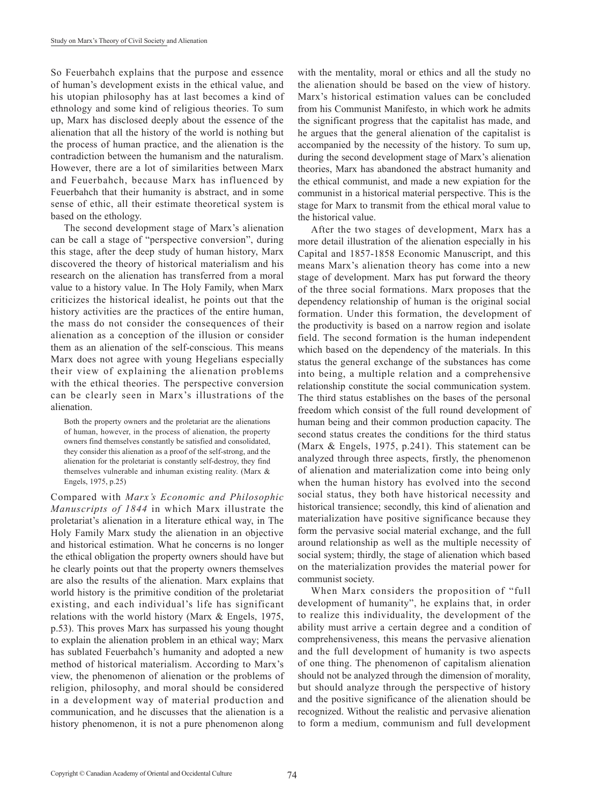So Feuerbahch explains that the purpose and essence of human's development exists in the ethical value, and his utopian philosophy has at last becomes a kind of ethnology and some kind of religious theories. To sum up, Marx has disclosed deeply about the essence of the alienation that all the history of the world is nothing but the process of human practice, and the alienation is the contradiction between the humanism and the naturalism. However, there are a lot of similarities between Marx and Feuerbahch, because Marx has influenced by Feuerbahch that their humanity is abstract, and in some sense of ethic, all their estimate theoretical system is based on the ethology.

The second development stage of Marx's alienation can be call a stage of "perspective conversion", during this stage, after the deep study of human history, Marx discovered the theory of historical materialism and his research on the alienation has transferred from a moral value to a history value. In The Holy Family, when Marx criticizes the historical idealist, he points out that the history activities are the practices of the entire human, the mass do not consider the consequences of their alienation as a conception of the illusion or consider them as an alienation of the self-conscious. This means Marx does not agree with young Hegelians especially their view of explaining the alienation problems with the ethical theories. The perspective conversion can be clearly seen in Marx's illustrations of the alienation.

Both the property owners and the proletariat are the alienations of human, however, in the process of alienation, the property owners find themselves constantly be satisfied and consolidated, they consider this alienation as a proof of the self-strong, and the alienation for the proletariat is constantly self-destroy, they find themselves vulnerable and inhuman existing reality. (Marx & Engels, 1975, p.25)

Compared with *Marx's Economic and Philosophic Manuscripts of 1844* in which Marx illustrate the proletariat's alienation in a literature ethical way, in The Holy Family Marx study the alienation in an objective and historical estimation. What he concerns is no longer the ethical obligation the property owners should have but he clearly points out that the property owners themselves are also the results of the alienation. Marx explains that world history is the primitive condition of the proletariat existing, and each individual's life has significant relations with the world history (Marx & Engels, 1975, p.53). This proves Marx has surpassed his young thought to explain the alienation problem in an ethical way; Marx has sublated Feuerbahch's humanity and adopted a new method of historical materialism. According to Marx's view, the phenomenon of alienation or the problems of religion, philosophy, and moral should be considered in a development way of material production and communication, and he discusses that the alienation is a history phenomenon, it is not a pure phenomenon along

with the mentality, moral or ethics and all the study no the alienation should be based on the view of history. Marx's historical estimation values can be concluded from his Communist Manifesto, in which work he admits the significant progress that the capitalist has made, and he argues that the general alienation of the capitalist is accompanied by the necessity of the history. To sum up, during the second development stage of Marx's alienation theories, Marx has abandoned the abstract humanity and the ethical communist, and made a new expiation for the communist in a historical material perspective. This is the stage for Marx to transmit from the ethical moral value to the historical value.

After the two stages of development, Marx has a more detail illustration of the alienation especially in his Capital and 1857-1858 Economic Manuscript, and this means Marx's alienation theory has come into a new stage of development. Marx has put forward the theory of the three social formations. Marx proposes that the dependency relationship of human is the original social formation. Under this formation, the development of the productivity is based on a narrow region and isolate field. The second formation is the human independent which based on the dependency of the materials. In this status the general exchange of the substances has come into being, a multiple relation and a comprehensive relationship constitute the social communication system. The third status establishes on the bases of the personal freedom which consist of the full round development of human being and their common production capacity. The second status creates the conditions for the third status (Marx & Engels, 1975, p.241). This statement can be analyzed through three aspects, firstly, the phenomenon of alienation and materialization come into being only when the human history has evolved into the second social status, they both have historical necessity and historical transience; secondly, this kind of alienation and materialization have positive significance because they form the pervasive social material exchange, and the full around relationship as well as the multiple necessity of social system; thirdly, the stage of alienation which based on the materialization provides the material power for communist society.

When Marx considers the proposition of "full development of humanity", he explains that, in order to realize this individuality, the development of the ability must arrive a certain degree and a condition of comprehensiveness, this means the pervasive alienation and the full development of humanity is two aspects of one thing. The phenomenon of capitalism alienation should not be analyzed through the dimension of morality, but should analyze through the perspective of history and the positive significance of the alienation should be recognized. Without the realistic and pervasive alienation to form a medium, communism and full development